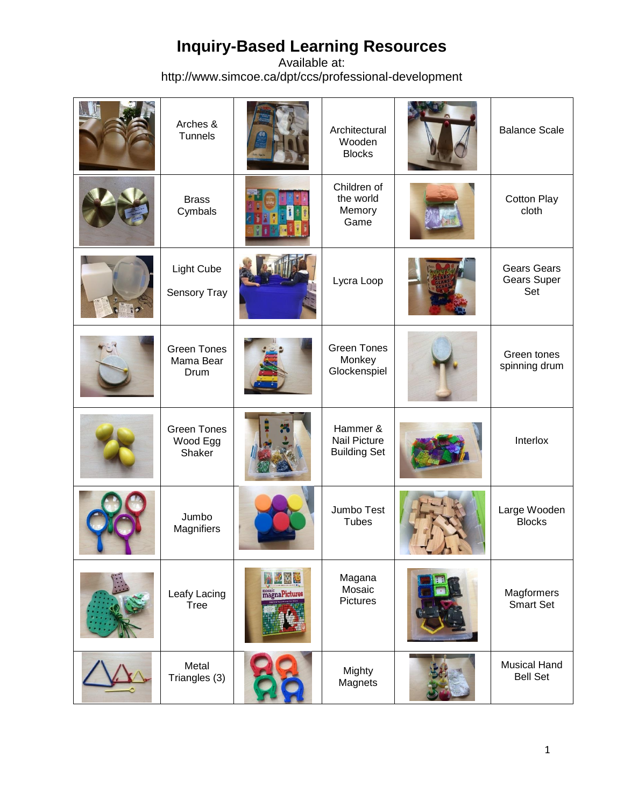| Arches &<br>Tunnels                      |                                 | Architectural<br>Wooden<br><b>Blocks</b>               | <b>Balance Scale</b>                     |
|------------------------------------------|---------------------------------|--------------------------------------------------------|------------------------------------------|
| <b>Brass</b><br>Cymbals                  |                                 | Children of<br>the world<br>Memory<br>Game             | <b>Cotton Play</b><br>cloth              |
| Light Cube<br>Sensory Tray               |                                 | Lycra Loop                                             | <b>Gears Gears</b><br>Gears Super<br>Set |
| <b>Green Tones</b><br>Mama Bear<br>Drum  |                                 | <b>Green Tones</b><br>Monkey<br>Glockenspiel           | Green tones<br>spinning drum             |
| <b>Green Tones</b><br>Wood Egg<br>Shaker |                                 | Hammer &<br><b>Nail Picture</b><br><b>Building Set</b> | Interlox                                 |
| Jumbo<br>Magnifiers                      |                                 | Jumbo Test<br><b>Tubes</b>                             | Large Wooden<br><b>Blocks</b>            |
| Leafy Lacing<br><b>Tree</b>              | 4日 度<br>mosaic<br>magnaPictures | Magana<br>Mosaic<br>Pictures                           | Magformers<br><b>Smart Set</b>           |
| Metal<br>Triangles (3)                   |                                 | Mighty<br>Magnets                                      | <b>Musical Hand</b><br><b>Bell Set</b>   |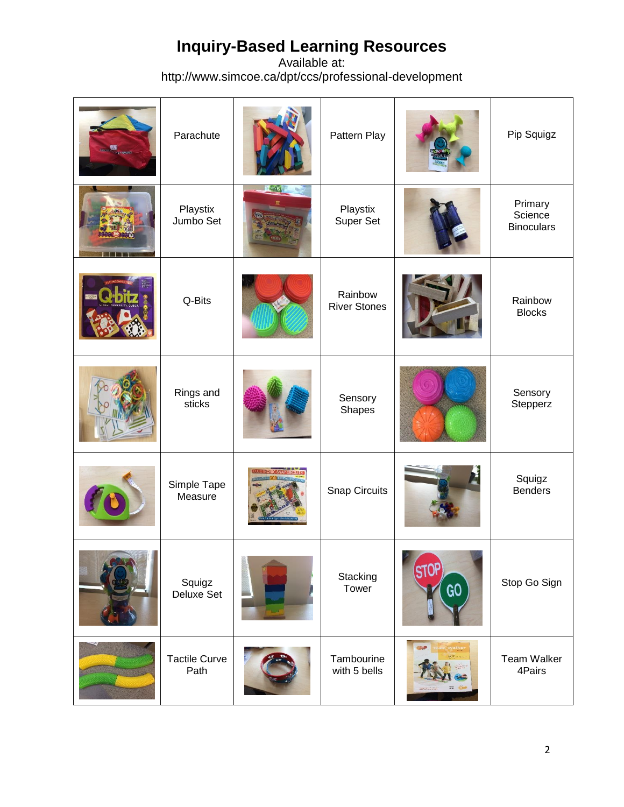| <b>BANDARY COMPANY</b> | Parachute                    | Pattern Play                   |                   | Pip Squigz                              |
|------------------------|------------------------------|--------------------------------|-------------------|-----------------------------------------|
|                        | Playstix<br>Jumbo Set        | Playstix<br>Super Set          |                   | Primary<br>Science<br><b>Binoculars</b> |
|                        | Q-Bits                       | Rainbow<br><b>River Stones</b> |                   | Rainbow<br><b>Blocks</b>                |
|                        | Rings and<br>sticks          | Sensory<br><b>Shapes</b>       |                   | Sensory<br>Stepperz                     |
|                        | Simple Tape<br>Measure       | Snap Circuits                  |                   | Squigz<br><b>Benders</b>                |
|                        | Squigz<br>Deluxe Set         | Stacking<br>Tower              | <b>STOP</b><br>GO | Stop Go Sign                            |
|                        | <b>Tactile Curve</b><br>Path | Tambourine<br>with 5 bells     |                   | Team Walker<br>4Pairs                   |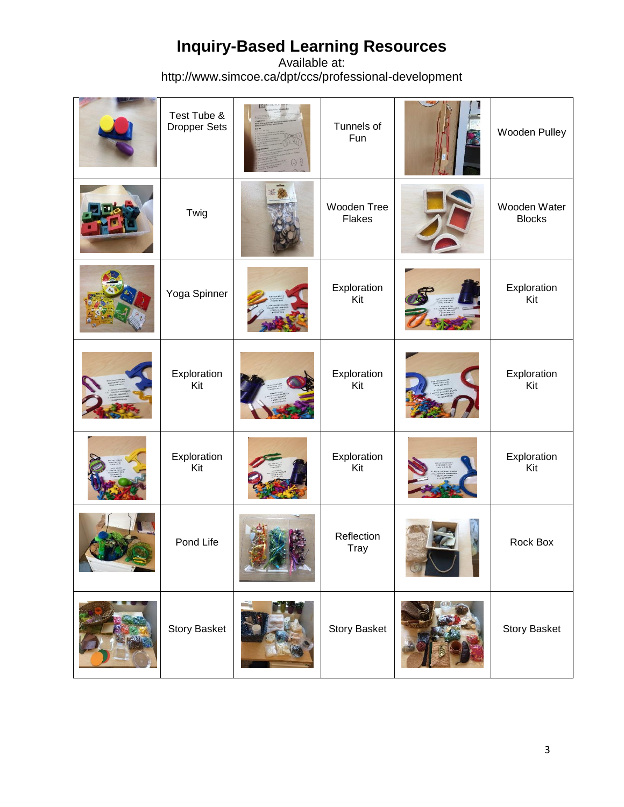| Test Tube &<br>Dropper Sets | Tunnels of<br>Fun            | Wooden Pulley                 |
|-----------------------------|------------------------------|-------------------------------|
| Twig                        | Wooden Tree<br><b>Flakes</b> | Wooden Water<br><b>Blocks</b> |
| Yoga Spinner                | Exploration<br>Kit           | Exploration<br>Kit            |
| Exploration<br>Kit          | Exploration<br>Kit           | Exploration<br>Kit            |
| Exploration<br>Kit          | Exploration<br>Kit           | Exploration<br>Kit            |
| Pond Life                   | Reflection<br>Tray           | Rock Box                      |
| Story Basket                | Story Basket                 | Story Basket                  |